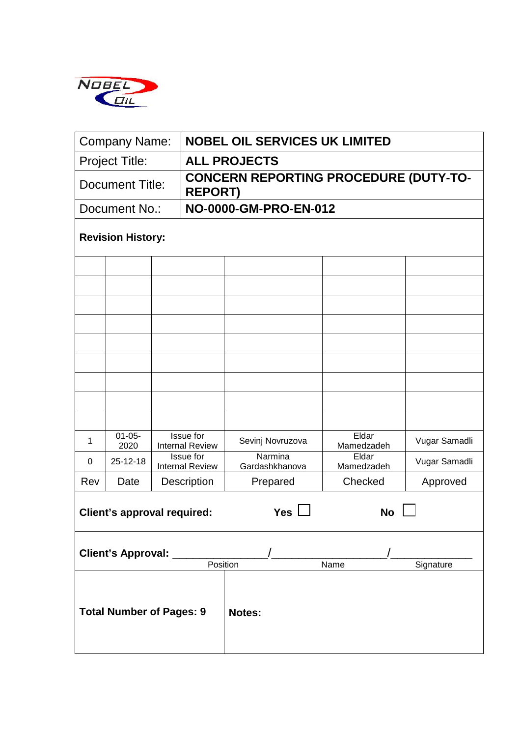

| <b>Company Name:</b>               |                                 |                                     | <b>NOBEL OIL SERVICES UK LIMITED</b> |                                              |                     |               |  |  |  |  |  |
|------------------------------------|---------------------------------|-------------------------------------|--------------------------------------|----------------------------------------------|---------------------|---------------|--|--|--|--|--|
| <b>Project Title:</b>              |                                 |                                     |                                      | <b>ALL PROJECTS</b>                          |                     |               |  |  |  |  |  |
| Document Title:                    |                                 |                                     | <b>REPORT)</b>                       | <b>CONCERN REPORTING PROCEDURE (DUTY-TO-</b> |                     |               |  |  |  |  |  |
| Document No.:                      |                                 |                                     |                                      | NO-0000-GM-PRO-EN-012                        |                     |               |  |  |  |  |  |
| <b>Revision History:</b>           |                                 |                                     |                                      |                                              |                     |               |  |  |  |  |  |
|                                    |                                 |                                     |                                      |                                              |                     |               |  |  |  |  |  |
|                                    |                                 |                                     |                                      |                                              |                     |               |  |  |  |  |  |
|                                    |                                 |                                     |                                      |                                              |                     |               |  |  |  |  |  |
|                                    |                                 |                                     |                                      |                                              |                     |               |  |  |  |  |  |
|                                    |                                 |                                     |                                      |                                              |                     |               |  |  |  |  |  |
|                                    |                                 |                                     |                                      |                                              |                     |               |  |  |  |  |  |
|                                    |                                 |                                     |                                      |                                              |                     |               |  |  |  |  |  |
|                                    |                                 |                                     |                                      |                                              |                     |               |  |  |  |  |  |
|                                    |                                 |                                     |                                      |                                              |                     |               |  |  |  |  |  |
| $\mathbf{1}$                       | $01 - 05 -$<br>2020             | Issue for<br><b>Internal Review</b> |                                      | Sevinj Novruzova                             | Eldar<br>Mamedzadeh | Vugar Samadli |  |  |  |  |  |
| $\Omega$                           | 25-12-18                        | Issue for<br><b>Internal Review</b> |                                      | Narmina<br>Gardashkhanova                    | Eldar<br>Mamedzadeh | Vugar Samadli |  |  |  |  |  |
| Rev                                | Date                            |                                     | <b>Description</b>                   | Prepared                                     | Checked             | Approved      |  |  |  |  |  |
| <b>Client's approval required:</b> |                                 |                                     |                                      | <b>Yes</b>                                   | <b>No</b>           |               |  |  |  |  |  |
| <b>Client's Approval:</b>          |                                 |                                     |                                      | Position                                     | Name                | Signature     |  |  |  |  |  |
|                                    | <b>Total Number of Pages: 9</b> |                                     |                                      | Notes:                                       |                     |               |  |  |  |  |  |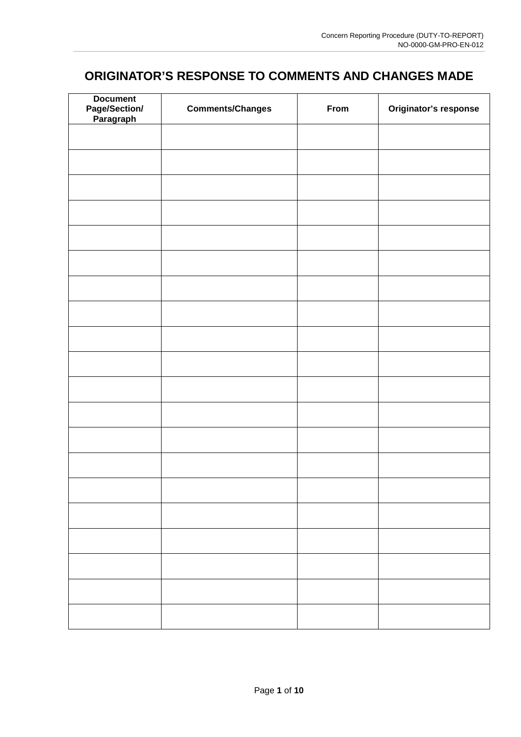# **ORIGINATOR'S RESPONSE TO COMMENTS AND CHANGES MADE**

| <b>Document</b><br>Page/Section/<br>Paragraph | <b>Comments/Changes</b> | From | Originator's response |
|-----------------------------------------------|-------------------------|------|-----------------------|
|                                               |                         |      |                       |
|                                               |                         |      |                       |
|                                               |                         |      |                       |
|                                               |                         |      |                       |
|                                               |                         |      |                       |
|                                               |                         |      |                       |
|                                               |                         |      |                       |
|                                               |                         |      |                       |
|                                               |                         |      |                       |
|                                               |                         |      |                       |
|                                               |                         |      |                       |
|                                               |                         |      |                       |
|                                               |                         |      |                       |
|                                               |                         |      |                       |
|                                               |                         |      |                       |
|                                               |                         |      |                       |
|                                               |                         |      |                       |
|                                               |                         |      |                       |
|                                               |                         |      |                       |
|                                               |                         |      |                       |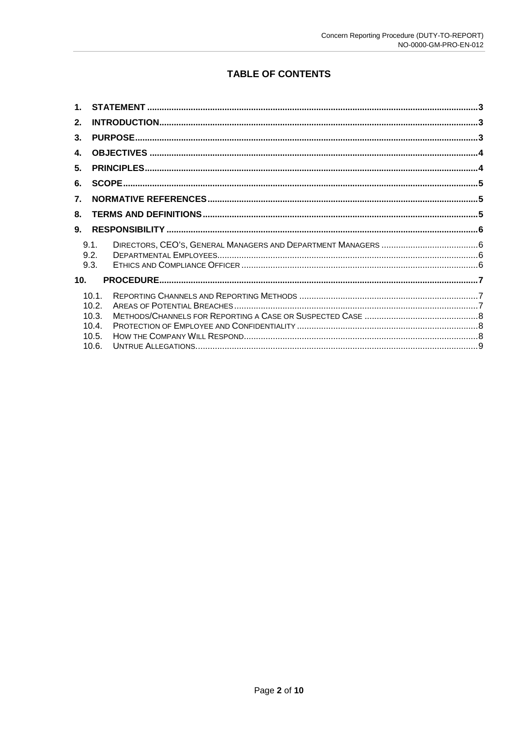## **TABLE OF CONTENTS**

| 2.              |                         |  |  |  |  |  |
|-----------------|-------------------------|--|--|--|--|--|
| 3.              |                         |  |  |  |  |  |
| 4.              |                         |  |  |  |  |  |
| 5.              |                         |  |  |  |  |  |
| 6.              |                         |  |  |  |  |  |
| 7.              |                         |  |  |  |  |  |
| 8.              |                         |  |  |  |  |  |
| 9.              |                         |  |  |  |  |  |
|                 | 9.1.<br>9.2.<br>9.3.    |  |  |  |  |  |
| 10 <sub>1</sub> |                         |  |  |  |  |  |
|                 | 10.1.<br>10.2.<br>10.3. |  |  |  |  |  |
|                 | 10.4.<br>10.5.          |  |  |  |  |  |
|                 | 10.6.                   |  |  |  |  |  |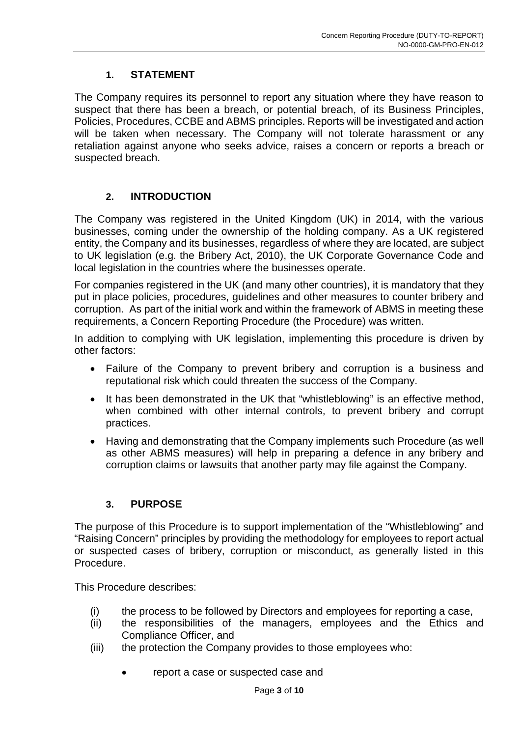## **1. STATEMENT**

The Company requires its personnel to report any situation where they have reason to suspect that there has been a breach, or potential breach, of its Business Principles, Policies, Procedures, CCBE and ABMS principles. Reports will be investigated and action will be taken when necessary. The Company will not tolerate harassment or any retaliation against anyone who seeks advice, raises a concern or reports a breach or suspected breach.

### **2. INTRODUCTION**

The Company was registered in the United Kingdom (UK) in 2014, with the various businesses, coming under the ownership of the holding company. As a UK registered entity, the Company and its businesses, regardless of where they are located, are subject to UK legislation (e.g. the Bribery Act, 2010), the UK Corporate Governance Code and local legislation in the countries where the businesses operate.

For companies registered in the UK (and many other countries), it is mandatory that they put in place policies, procedures, guidelines and other measures to counter bribery and corruption. As part of the initial work and within the framework of ABMS in meeting these requirements, a Concern Reporting Procedure (the Procedure) was written.

In addition to complying with UK legislation, implementing this procedure is driven by other factors:

- Failure of the Company to prevent bribery and corruption is a business and reputational risk which could threaten the success of the Company.
- It has been demonstrated in the UK that "whistleblowing" is an effective method, when combined with other internal controls, to prevent bribery and corrupt practices.
- Having and demonstrating that the Company implements such Procedure (as well as other ABMS measures) will help in preparing a defence in any bribery and corruption claims or lawsuits that another party may file against the Company.

### **3. PURPOSE**

The purpose of this Procedure is to support implementation of the "Whistleblowing" and "Raising Concern" principles by providing the methodology for employees to report actual or suspected cases of bribery, corruption or misconduct, as generally listed in this Procedure.

This Procedure describes:

- (i) the process to be followed by Directors and employees for reporting a case,
- (ii) the responsibilities of the managers, employees and the Ethics and Compliance Officer, and
- (iii) the protection the Company provides to those employees who:
	- report a case or suspected case and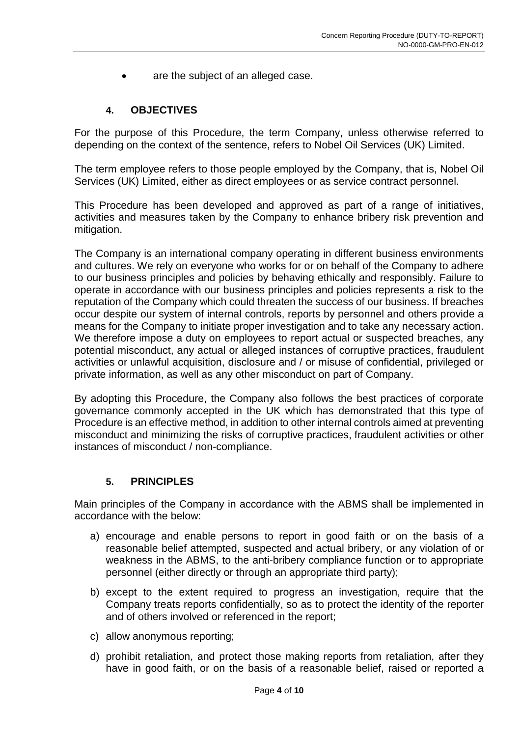are the subject of an alleged case.

#### **4. OBJECTIVES**

For the purpose of this Procedure, the term Company, unless otherwise referred to depending on the context of the sentence, refers to Nobel Oil Services (UK) Limited.

The term employee refers to those people employed by the Company, that is, Nobel Oil Services (UK) Limited, either as direct employees or as service contract personnel.

This Procedure has been developed and approved as part of a range of initiatives, activities and measures taken by the Company to enhance bribery risk prevention and mitigation.

The Company is an international company operating in different business environments and cultures. We rely on everyone who works for or on behalf of the Company to adhere to our business principles and policies by behaving ethically and responsibly. Failure to operate in accordance with our business principles and policies represents a risk to the reputation of the Company which could threaten the success of our business. If breaches occur despite our system of internal controls, reports by personnel and others provide a means for the Company to initiate proper investigation and to take any necessary action. We therefore impose a duty on employees to report actual or suspected breaches, any potential misconduct, any actual or alleged instances of corruptive practices, fraudulent activities or unlawful acquisition, disclosure and / or misuse of confidential, privileged or private information, as well as any other misconduct on part of Company.

By adopting this Procedure, the Company also follows the best practices of corporate governance commonly accepted in the UK which has demonstrated that this type of Procedure is an effective method, in addition to other internal controls aimed at preventing misconduct and minimizing the risks of corruptive practices, fraudulent activities or other instances of misconduct / non-compliance.

#### **5. PRINCIPLES**

Main principles of the Company in accordance with the ABMS shall be implemented in accordance with the below:

- a) encourage and enable persons to report in good faith or on the basis of a reasonable belief attempted, suspected and actual bribery, or any violation of or weakness in the ABMS, to the anti-bribery compliance function or to appropriate personnel (either directly or through an appropriate third party);
- b) except to the extent required to progress an investigation, require that the Company treats reports confidentially, so as to protect the identity of the reporter and of others involved or referenced in the report;
- c) allow anonymous reporting;
- d) prohibit retaliation, and protect those making reports from retaliation, after they have in good faith, or on the basis of a reasonable belief, raised or reported a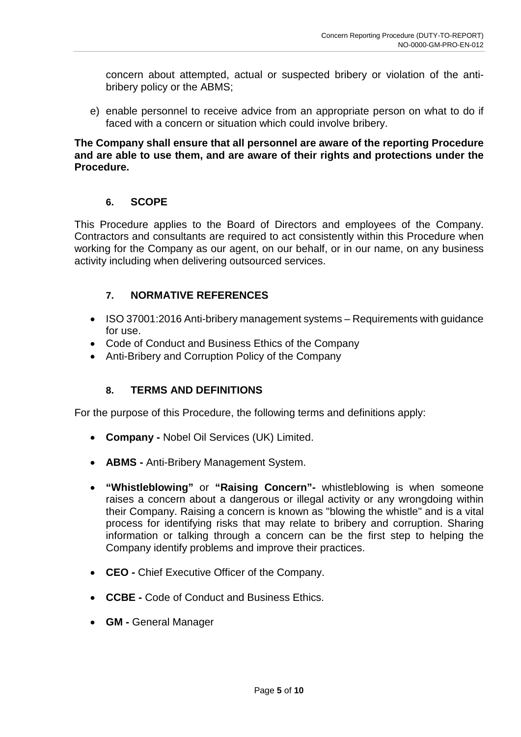concern about attempted, actual or suspected bribery or violation of the antibribery policy or the ABMS;

e) enable personnel to receive advice from an appropriate person on what to do if faced with a concern or situation which could involve bribery.

#### **The Company shall ensure that all personnel are aware of the reporting Procedure and are able to use them, and are aware of their rights and protections under the Procedure.**

#### **6. SCOPE**

This Procedure applies to the Board of Directors and employees of the Company. Contractors and consultants are required to act consistently within this Procedure when working for the Company as our agent, on our behalf, or in our name, on any business activity including when delivering outsourced services.

### **7. NORMATIVE REFERENCES**

- ISO 37001:2016 Anti-bribery management systems Requirements with guidance for use.
- Code of Conduct and Business Ethics of the Company
- Anti-Bribery and Corruption Policy of the Company

### **8. TERMS AND DEFINITIONS**

For the purpose of this Procedure, the following terms and definitions apply:

- **Company -** Nobel Oil Services (UK) Limited.
- **ABMS -** Anti-Bribery Management System.
- **"Whistleblowing"** or **"Raising Concern"-** whistleblowing is when someone raises a concern about a dangerous or illegal activity or any wrongdoing within their Company. Raising a concern is known as "blowing the whistle" and is a vital process for identifying risks that may relate to bribery and corruption. Sharing information or talking through a concern can be the first step to helping the Company identify problems and improve their practices.
- **CEO -** Chief Executive Officer of the Company.
- **CCBE -** Code of Conduct and Business Ethics.
- **GM -** General Manager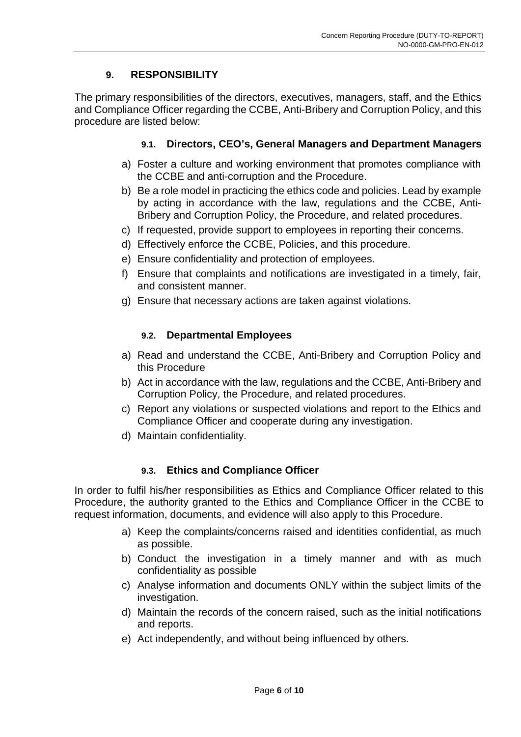## **9. RESPONSIBILITY**

The primary responsibilities of the directors, executives, managers, staff, and the Ethics and Compliance Officer regarding the CCBE, Anti-Bribery and Corruption Policy, and this procedure are listed below:

## **9.1. Directors, CEO's, General Managers and Department Managers**

- a) Foster a culture and working environment that promotes compliance with the CCBE and anti-corruption and the Procedure.
- b) Be a role model in practicing the ethics code and policies. Lead by example by acting in accordance with the law, regulations and the CCBE, Anti-Bribery and Corruption Policy, the Procedure, and related procedures.
- c) If requested, provide support to employees in reporting their concerns.
- d) Effectively enforce the CCBE, Policies, and this procedure.
- e) Ensure confidentiality and protection of employees.
- f) Ensure that complaints and notifications are investigated in a timely, fair, and consistent manner.
- g) Ensure that necessary actions are taken against violations.

## **9.2. Departmental Employees**

- a) Read and understand the CCBE, Anti-Bribery and Corruption Policy and this Procedure
- b) Act in accordance with the law, regulations and the CCBE, Anti-Bribery and Corruption Policy, the Procedure, and related procedures.
- c) Report any violations or suspected violations and report to the Ethics and Compliance Officer and cooperate during any investigation.
- d) Maintain confidentiality.

## **9.3. Ethics and Compliance Officer**

In order to fulfil his/her responsibilities as Ethics and Compliance Officer related to this Procedure, the authority granted to the Ethics and Compliance Officer in the CCBE to request information, documents, and evidence will also apply to this Procedure.

- a) Keep the complaints/concerns raised and identities confidential, as much as possible.
- b) Conduct the investigation in a timely manner and with as much confidentiality as possible
- c) Analyse information and documents ONLY within the subject limits of the investigation.
- d) Maintain the records of the concern raised, such as the initial notifications and reports.
- e) Act independently, and without being influenced by others.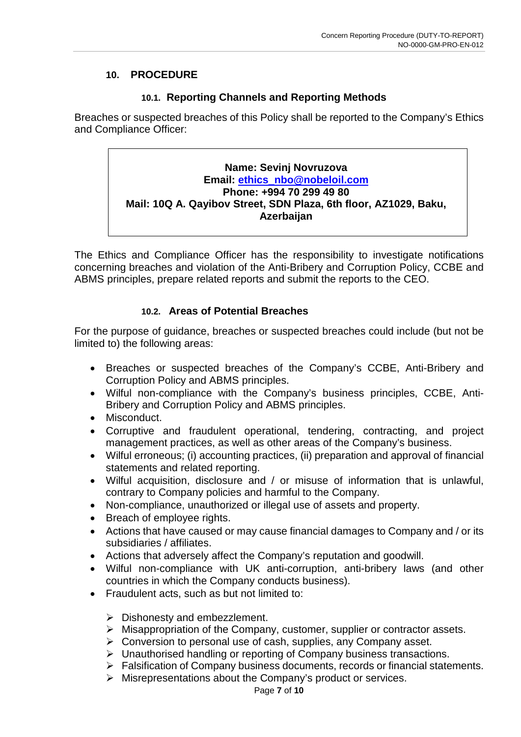### **10. PROCEDURE**

## **10.1. Reporting Channels and Reporting Methods**

Breaches or suspected breaches of this Policy shall be reported to the Company's Ethics and Compliance Officer:

## **Name: Sevinj Novruzova Email: [ethics\\_nbo@nobeloil.com](mailto:ethics_nbo@nobeloil.com) Phone: +994 70 299 49 80 Mail: 10Q A. Qayibov Street, SDN Plaza, 6th floor, AZ1029, Baku, Azerbaijan**

The Ethics and Compliance Officer has the responsibility to investigate notifications concerning breaches and violation of the Anti-Bribery and Corruption Policy, CCBE and ABMS principles, prepare related reports and submit the reports to the CEO.

### **10.2. Areas of Potential Breaches**

For the purpose of guidance, breaches or suspected breaches could include (but not be limited to) the following areas:

- Breaches or suspected breaches of the Company's CCBE, Anti-Bribery and Corruption Policy and ABMS principles.
- Wilful non-compliance with the Company's business principles, CCBE, Anti-Bribery and Corruption Policy and ABMS principles.
- Misconduct.
- Corruptive and fraudulent operational, tendering, contracting, and project management practices, as well as other areas of the Company's business.
- Wilful erroneous; (i) accounting practices, (ii) preparation and approval of financial statements and related reporting.
- Wilful acquisition, disclosure and / or misuse of information that is unlawful, contrary to Company policies and harmful to the Company.
- Non-compliance, unauthorized or illegal use of assets and property.
- Breach of employee rights.
- Actions that have caused or may cause financial damages to Company and / or its subsidiaries / affiliates.
- Actions that adversely affect the Company's reputation and goodwill.
- Wilful non-compliance with UK anti-corruption, anti-bribery laws (and other countries in which the Company conducts business).
- Fraudulent acts, such as but not limited to:
	- $\triangleright$  Dishonesty and embezzlement.
	- $\triangleright$  Misappropriation of the Company, customer, supplier or contractor assets.
	- Conversion to personal use of cash, supplies, any Company asset.
	- Unauthorised handling or reporting of Company business transactions.
	- Falsification of Company business documents, records or financial statements.
	- $\triangleright$  Misrepresentations about the Company's product or services.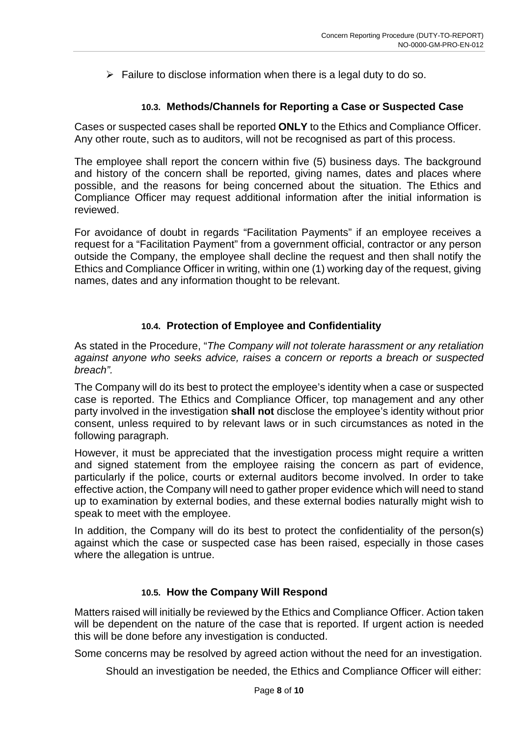$\triangleright$  Failure to disclose information when there is a legal duty to do so.

#### **10.3. Methods/Channels for Reporting a Case or Suspected Case**

Cases or suspected cases shall be reported **ONLY** to the Ethics and Compliance Officer. Any other route, such as to auditors, will not be recognised as part of this process.

The employee shall report the concern within five (5) business days. The background and history of the concern shall be reported, giving names, dates and places where possible, and the reasons for being concerned about the situation. The Ethics and Compliance Officer may request additional information after the initial information is reviewed.

For avoidance of doubt in regards "Facilitation Payments" if an employee receives a request for a "Facilitation Payment" from a government official, contractor or any person outside the Company, the employee shall decline the request and then shall notify the Ethics and Compliance Officer in writing, within one (1) working day of the request, giving names, dates and any information thought to be relevant.

#### **10.4. Protection of Employee and Confidentiality**

As stated in the Procedure, "*The Company will not tolerate harassment or any retaliation against anyone who seeks advice, raises a concern or reports a breach or suspected breach".*

The Company will do its best to protect the employee's identity when a case or suspected case is reported. The Ethics and Compliance Officer, top management and any other party involved in the investigation **shall not** disclose the employee's identity without prior consent, unless required to by relevant laws or in such circumstances as noted in the following paragraph.

However, it must be appreciated that the investigation process might require a written and signed statement from the employee raising the concern as part of evidence, particularly if the police, courts or external auditors become involved. In order to take effective action, the Company will need to gather proper evidence which will need to stand up to examination by external bodies, and these external bodies naturally might wish to speak to meet with the employee.

In addition, the Company will do its best to protect the confidentiality of the person(s) against which the case or suspected case has been raised, especially in those cases where the allegation is untrue.

#### **10.5. How the Company Will Respond**

Matters raised will initially be reviewed by the Ethics and Compliance Officer. Action taken will be dependent on the nature of the case that is reported. If urgent action is needed this will be done before any investigation is conducted.

Some concerns may be resolved by agreed action without the need for an investigation.

Should an investigation be needed, the Ethics and Compliance Officer will either: